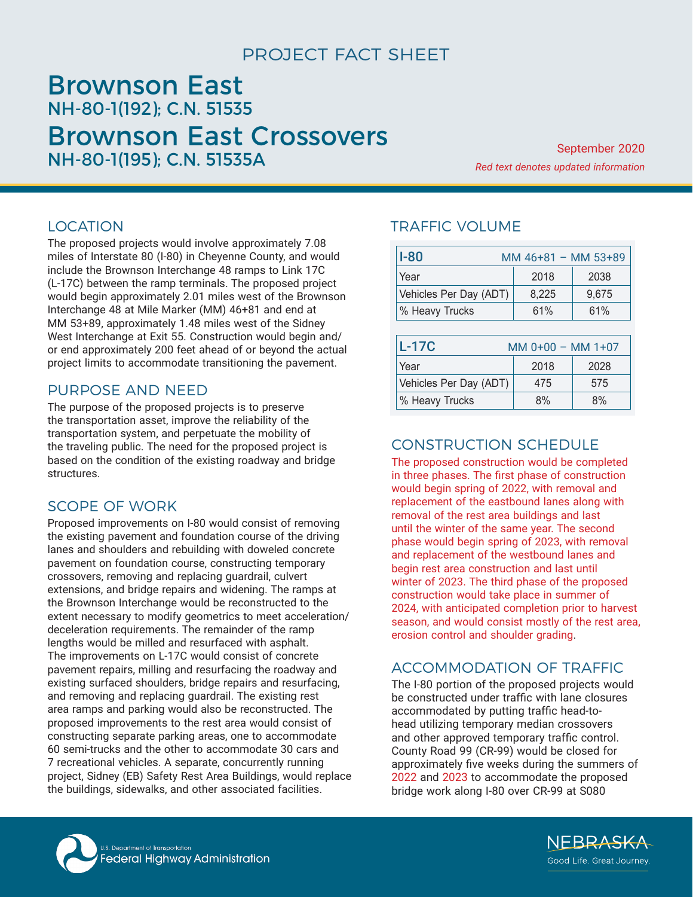# PROJECT FACT SHEET

# Brownson East NH-80-1(192); C.N. 51535 Brownson East Crossovers NH-80-1(195); C.N. 51535A September 2020

*Red text denotes updated information*

### LOCATION

The proposed projects would involve approximately 7.08 miles of Interstate 80 (I-80) in Cheyenne County, and would include the Brownson Interchange 48 ramps to Link 17C (L-17C) between the ramp terminals. The proposed project would begin approximately 2.01 miles west of the Brownson Interchange 48 at Mile Marker (MM) 46+81 and end at MM 53+89, approximately 1.48 miles west of the Sidney West Interchange at Exit 55. Construction would begin and/ or end approximately 200 feet ahead of or beyond the actual project limits to accommodate transitioning the pavement.

### PURPOSE AND NEED

The purpose of the proposed projects is to preserve the transportation asset, improve the reliability of the transportation system, and perpetuate the mobility of the traveling public. The need for the proposed project is based on the condition of the existing roadway and bridge structures.

### SCOPE OF WORK

Proposed improvements on I-80 would consist of removing the existing pavement and foundation course of the driving lanes and shoulders and rebuilding with doweled concrete pavement on foundation course, constructing temporary crossovers, removing and replacing guardrail, culvert extensions, and bridge repairs and widening. The ramps at the Brownson Interchange would be reconstructed to the extent necessary to modify geometrics to meet acceleration/ deceleration requirements. The remainder of the ramp lengths would be milled and resurfaced with asphalt. The improvements on L-17C would consist of concrete pavement repairs, milling and resurfacing the roadway and existing surfaced shoulders, bridge repairs and resurfacing, and removing and replacing guardrail. The existing rest area ramps and parking would also be reconstructed. The proposed improvements to the rest area would consist of constructing separate parking areas, one to accommodate 60 semi-trucks and the other to accommodate 30 cars and 7 recreational vehicles. A separate, concurrently running project, Sidney (EB) Safety Rest Area Buildings, would replace the buildings, sidewalks, and other associated facilities.

### TRAFFIC VOLUME

| $I-80$<br>MM 46+81 - MM 53+89 |       |       |
|-------------------------------|-------|-------|
| Year                          | 2018  | 2038  |
| Vehicles Per Day (ADT)        | 8,225 | 9,675 |
| % Heavy Trucks                | 61%   | 61%   |

| $L-17C$<br>$MM$ 0+00 - MM 1+07 |      |      |
|--------------------------------|------|------|
| Year                           | 2018 | 2028 |
| Vehicles Per Day (ADT)         | 475  | 575  |
| % Heavy Trucks                 | 8%   | 8%   |

### CONSTRUCTION SCHEDULE

The proposed construction would be completed in three phases. The first phase of construction would begin spring of 2022, with removal and replacement of the eastbound lanes along with removal of the rest area buildings and last until the winter of the same year. The second phase would begin spring of 2023, with removal and replacement of the westbound lanes and begin rest area construction and last until winter of 2023. The third phase of the proposed construction would take place in summer of 2024, with anticipated completion prior to harvest season, and would consist mostly of the rest area, erosion control and shoulder grading.

## ACCOMMODATION OF TRAFFIC

The I-80 portion of the proposed projects would be constructed under traffic with lane closures accommodated by putting traffic head-tohead utilizing temporary median crossovers and other approved temporary traffic control. County Road 99 (CR-99) would be closed for approximately five weeks during the summers of 2022 and 2023 to accommodate the proposed bridge work along I-80 over CR-99 at S080